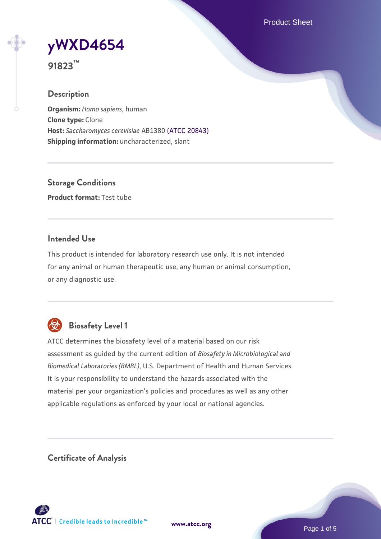Product Sheet

**[yWXD4654](https://www.atcc.org/products/91823)**

**91823™**

## **Description**

**Organism:** *Homo sapiens*, human **Clone type:** Clone **Host:** *Saccharomyces cerevisiae* AB1380 [\(ATCC 20843\)](https://www.atcc.org/products/20843) **Shipping information:** uncharacterized, slant

**Storage Conditions Product format:** Test tube

## **Intended Use**

This product is intended for laboratory research use only. It is not intended for any animal or human therapeutic use, any human or animal consumption, or any diagnostic use.



## **Biosafety Level 1**

ATCC determines the biosafety level of a material based on our risk assessment as guided by the current edition of *Biosafety in Microbiological and Biomedical Laboratories (BMBL)*, U.S. Department of Health and Human Services. It is your responsibility to understand the hazards associated with the material per your organization's policies and procedures as well as any other applicable regulations as enforced by your local or national agencies.

**Certificate of Analysis**

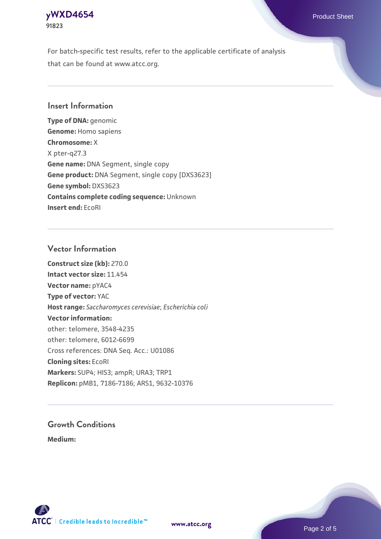## **[yWXD4654](https://www.atcc.org/products/91823)** Product Sheet **91823**

For batch-specific test results, refer to the applicable certificate of analysis that can be found at www.atcc.org.

## **Insert Information**

**Type of DNA:** genomic **Genome:** Homo sapiens **Chromosome:** X X pter-q27.3 **Gene name:** DNA Segment, single copy **Gene product:** DNA Segment, single copy [DXS3623] **Gene symbol:** DXS3623 **Contains complete coding sequence:** Unknown **Insert end:** EcoRI

#### **Vector Information**

**Construct size (kb):** 270.0 **Intact vector size:** 11.454 **Vector name:** pYAC4 **Type of vector:** YAC **Host range:** *Saccharomyces cerevisiae*; *Escherichia coli* **Vector information:** other: telomere, 3548-4235 other: telomere, 6012-6699 Cross references: DNA Seq. Acc.: U01086 **Cloning sites:** EcoRI **Markers:** SUP4; HIS3; ampR; URA3; TRP1 **Replicon:** pMB1, 7186-7186; ARS1, 9632-10376

# **Growth Conditions**

**Medium:** 



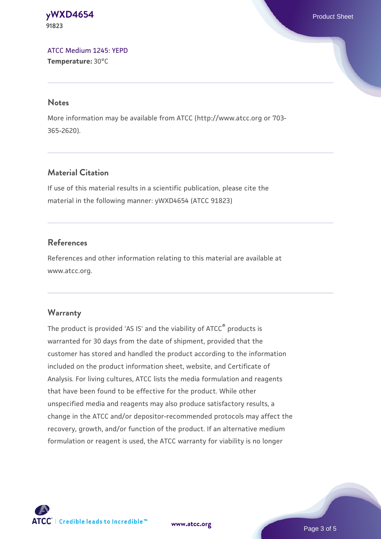#### **[yWXD4654](https://www.atcc.org/products/91823)** Product Sheet **91823**

[ATCC Medium 1245: YEPD](https://www.atcc.org/-/media/product-assets/documents/microbial-media-formulations/1/2/4/5/atcc-medium-1245.pdf?rev=705ca55d1b6f490a808a965d5c072196) **Temperature:** 30°C

#### **Notes**

More information may be available from ATCC (http://www.atcc.org or 703- 365-2620).

## **Material Citation**

If use of this material results in a scientific publication, please cite the material in the following manner: yWXD4654 (ATCC 91823)

## **References**

References and other information relating to this material are available at www.atcc.org.

## **Warranty**

The product is provided 'AS IS' and the viability of ATCC® products is warranted for 30 days from the date of shipment, provided that the customer has stored and handled the product according to the information included on the product information sheet, website, and Certificate of Analysis. For living cultures, ATCC lists the media formulation and reagents that have been found to be effective for the product. While other unspecified media and reagents may also produce satisfactory results, a change in the ATCC and/or depositor-recommended protocols may affect the recovery, growth, and/or function of the product. If an alternative medium formulation or reagent is used, the ATCC warranty for viability is no longer



**[www.atcc.org](http://www.atcc.org)**

Page 3 of 5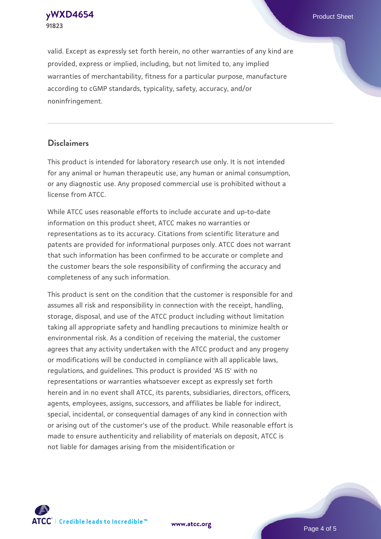**[yWXD4654](https://www.atcc.org/products/91823)** Product Sheet **91823**

valid. Except as expressly set forth herein, no other warranties of any kind are provided, express or implied, including, but not limited to, any implied warranties of merchantability, fitness for a particular purpose, manufacture according to cGMP standards, typicality, safety, accuracy, and/or noninfringement.

#### **Disclaimers**

This product is intended for laboratory research use only. It is not intended for any animal or human therapeutic use, any human or animal consumption, or any diagnostic use. Any proposed commercial use is prohibited without a license from ATCC.

While ATCC uses reasonable efforts to include accurate and up-to-date information on this product sheet, ATCC makes no warranties or representations as to its accuracy. Citations from scientific literature and patents are provided for informational purposes only. ATCC does not warrant that such information has been confirmed to be accurate or complete and the customer bears the sole responsibility of confirming the accuracy and completeness of any such information.

This product is sent on the condition that the customer is responsible for and assumes all risk and responsibility in connection with the receipt, handling, storage, disposal, and use of the ATCC product including without limitation taking all appropriate safety and handling precautions to minimize health or environmental risk. As a condition of receiving the material, the customer agrees that any activity undertaken with the ATCC product and any progeny or modifications will be conducted in compliance with all applicable laws, regulations, and guidelines. This product is provided 'AS IS' with no representations or warranties whatsoever except as expressly set forth herein and in no event shall ATCC, its parents, subsidiaries, directors, officers, agents, employees, assigns, successors, and affiliates be liable for indirect, special, incidental, or consequential damages of any kind in connection with or arising out of the customer's use of the product. While reasonable effort is made to ensure authenticity and reliability of materials on deposit, ATCC is not liable for damages arising from the misidentification or



**[www.atcc.org](http://www.atcc.org)**

Page 4 of 5